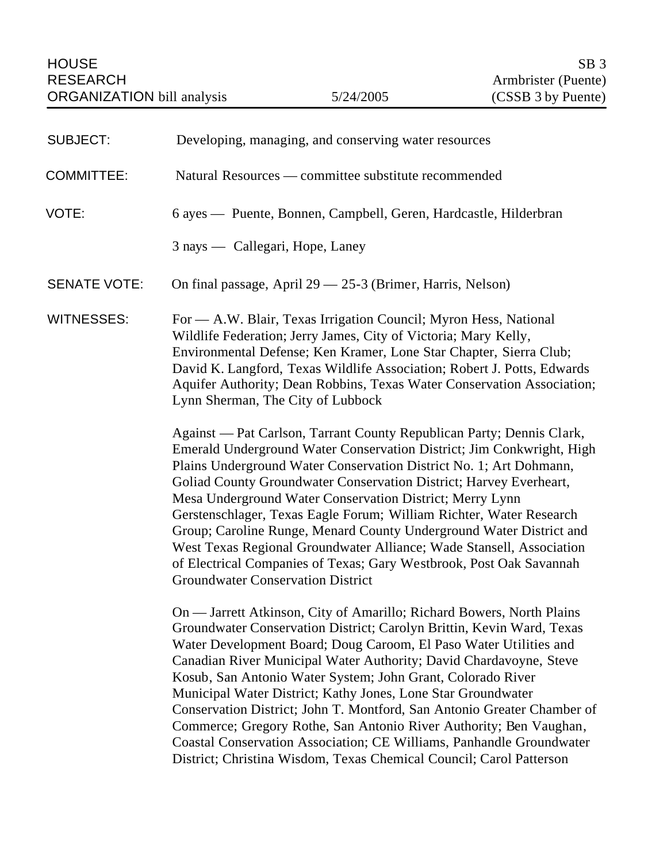| <b>SUBJECT:</b>     | Developing, managing, and conserving water resources                                                                                                                                                                                                                                                                                                                                                                                                                                                                                                                                                                                                                                                                     |  |  |
|---------------------|--------------------------------------------------------------------------------------------------------------------------------------------------------------------------------------------------------------------------------------------------------------------------------------------------------------------------------------------------------------------------------------------------------------------------------------------------------------------------------------------------------------------------------------------------------------------------------------------------------------------------------------------------------------------------------------------------------------------------|--|--|
| <b>COMMITTEE:</b>   | Natural Resources — committee substitute recommended                                                                                                                                                                                                                                                                                                                                                                                                                                                                                                                                                                                                                                                                     |  |  |
| VOTE:               | 6 ayes — Puente, Bonnen, Campbell, Geren, Hardcastle, Hilderbran                                                                                                                                                                                                                                                                                                                                                                                                                                                                                                                                                                                                                                                         |  |  |
|                     | 3 nays — Callegari, Hope, Laney                                                                                                                                                                                                                                                                                                                                                                                                                                                                                                                                                                                                                                                                                          |  |  |
| <b>SENATE VOTE:</b> | On final passage, April 29 - 25-3 (Brimer, Harris, Nelson)                                                                                                                                                                                                                                                                                                                                                                                                                                                                                                                                                                                                                                                               |  |  |
| <b>WITNESSES:</b>   | For — A.W. Blair, Texas Irrigation Council; Myron Hess, National<br>Wildlife Federation; Jerry James, City of Victoria; Mary Kelly,<br>Environmental Defense; Ken Kramer, Lone Star Chapter, Sierra Club;<br>David K. Langford, Texas Wildlife Association; Robert J. Potts, Edwards<br>Aquifer Authority; Dean Robbins, Texas Water Conservation Association;<br>Lynn Sherman, The City of Lubbock                                                                                                                                                                                                                                                                                                                      |  |  |
|                     | Against — Pat Carlson, Tarrant County Republican Party; Dennis Clark,<br>Emerald Underground Water Conservation District; Jim Conkwright, High<br>Plains Underground Water Conservation District No. 1; Art Dohmann,<br>Goliad County Groundwater Conservation District; Harvey Everheart,<br>Mesa Underground Water Conservation District; Merry Lynn<br>Gerstenschlager, Texas Eagle Forum; William Richter, Water Research<br>Group; Caroline Runge, Menard County Underground Water District and<br>West Texas Regional Groundwater Alliance; Wade Stansell, Association<br>of Electrical Companies of Texas; Gary Westbrook, Post Oak Savannah<br><b>Groundwater Conservation District</b>                          |  |  |
|                     | On — Jarrett Atkinson, City of Amarillo; Richard Bowers, North Plains<br>Groundwater Conservation District; Carolyn Brittin, Kevin Ward, Texas<br>Water Development Board; Doug Caroom, El Paso Water Utilities and<br>Canadian River Municipal Water Authority; David Chardavoyne, Steve<br>Kosub, San Antonio Water System; John Grant, Colorado River<br>Municipal Water District; Kathy Jones, Lone Star Groundwater<br>Conservation District; John T. Montford, San Antonio Greater Chamber of<br>Commerce; Gregory Rothe, San Antonio River Authority; Ben Vaughan,<br>Coastal Conservation Association; CE Williams, Panhandle Groundwater<br>District; Christina Wisdom, Texas Chemical Council; Carol Patterson |  |  |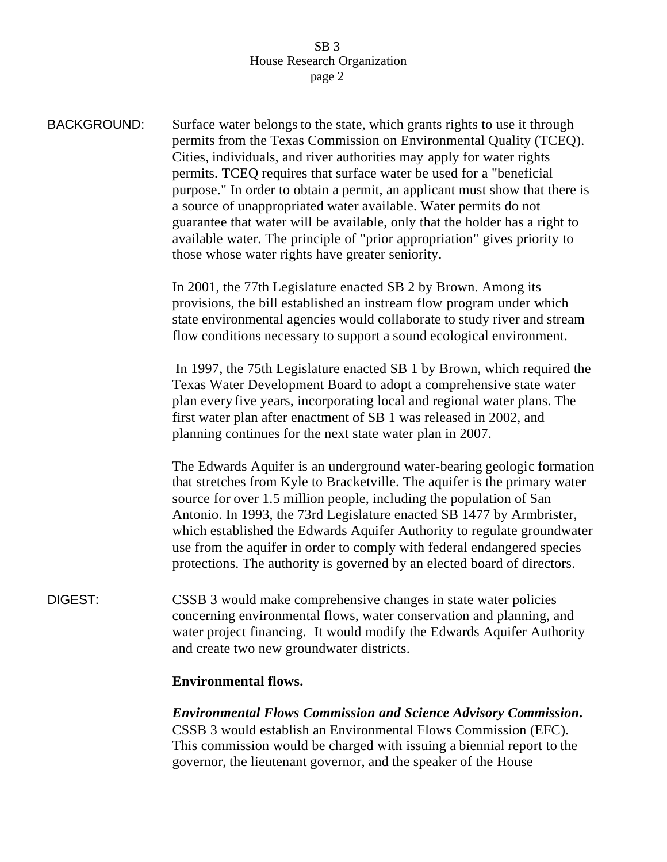BACKGROUND: Surface water belongs to the state, which grants rights to use it through permits from the Texas Commission on Environmental Quality (TCEQ). Cities, individuals, and river authorities may apply for water rights permits. TCEQ requires that surface water be used for a "beneficial purpose." In order to obtain a permit, an applicant must show that there is a source of unappropriated water available. Water permits do not guarantee that water will be available, only that the holder has a right to available water. The principle of "prior appropriation" gives priority to those whose water rights have greater seniority. In 2001, the 77th Legislature enacted SB 2 by Brown. Among its provisions, the bill established an instream flow program under which state environmental agencies would collaborate to study river and stream flow conditions necessary to support a sound ecological environment. In 1997, the 75th Legislature enacted SB 1 by Brown, which required the Texas Water Development Board to adopt a comprehensive state water plan every five years, incorporating local and regional water plans. The first water plan after enactment of SB 1 was released in 2002, and planning continues for the next state water plan in 2007. The Edwards Aquifer is an underground water-bearing geologic formation that stretches from Kyle to Bracketville. The aquifer is the primary water source for over 1.5 million people, including the population of San Antonio. In 1993, the 73rd Legislature enacted SB 1477 by Armbrister, which established the Edwards Aquifer Authority to regulate groundwater use from the aquifer in order to comply with federal endangered species protections. The authority is governed by an elected board of directors. DIGEST: CSSB 3 would make comprehensive changes in state water policies concerning environmental flows, water conservation and planning, and water project financing. It would modify the Edwards Aquifer Authority and create two new groundwater districts. **Environmental flows.**

*Environmental Flows Commission and Science Advisory Commission***.** CSSB 3 would establish an Environmental Flows Commission (EFC). This commission would be charged with issuing a biennial report to the governor, the lieutenant governor, and the speaker of the House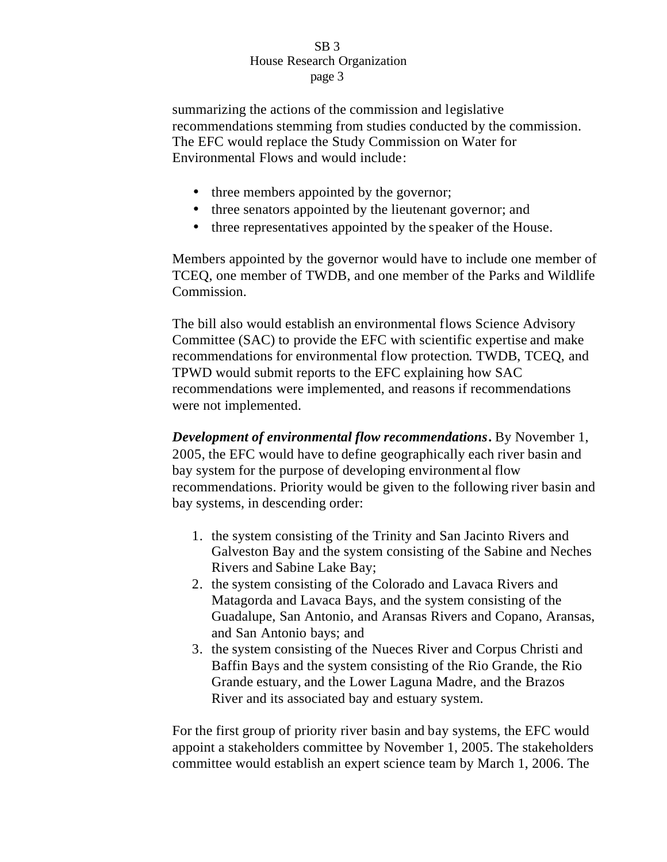summarizing the actions of the commission and legislative recommendations stemming from studies conducted by the commission. The EFC would replace the Study Commission on Water for Environmental Flows and would include:

- three members appointed by the governor;
- three senators appointed by the lieutenant governor; and
- three representatives appointed by the speaker of the House.

Members appointed by the governor would have to include one member of TCEQ, one member of TWDB, and one member of the Parks and Wildlife Commission.

The bill also would establish an environmental flows Science Advisory Committee (SAC) to provide the EFC with scientific expertise and make recommendations for environmental flow protection. TWDB, TCEQ, and TPWD would submit reports to the EFC explaining how SAC recommendations were implemented, and reasons if recommendations were not implemented.

*Development of environmental flow recommendations***.** By November 1, 2005, the EFC would have to define geographically each river basin and bay system for the purpose of developing environment al flow recommendations. Priority would be given to the following river basin and bay systems, in descending order:

- 1. the system consisting of the Trinity and San Jacinto Rivers and Galveston Bay and the system consisting of the Sabine and Neches Rivers and Sabine Lake Bay;
- 2. the system consisting of the Colorado and Lavaca Rivers and Matagorda and Lavaca Bays, and the system consisting of the Guadalupe, San Antonio, and Aransas Rivers and Copano, Aransas, and San Antonio bays; and
- 3. the system consisting of the Nueces River and Corpus Christi and Baffin Bays and the system consisting of the Rio Grande, the Rio Grande estuary, and the Lower Laguna Madre, and the Brazos River and its associated bay and estuary system.

For the first group of priority river basin and bay systems, the EFC would appoint a stakeholders committee by November 1, 2005. The stakeholders committee would establish an expert science team by March 1, 2006. The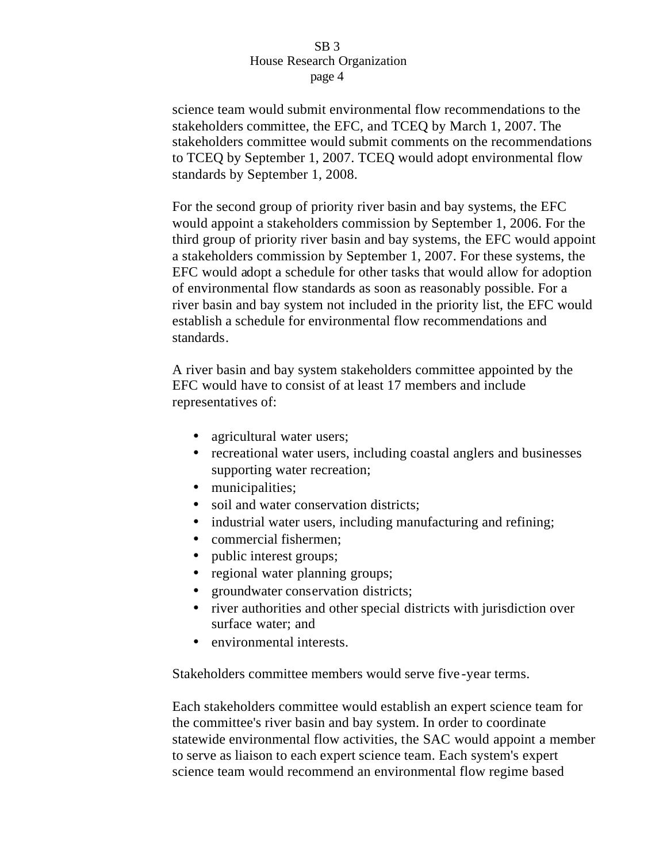science team would submit environmental flow recommendations to the stakeholders committee, the EFC, and TCEQ by March 1, 2007. The stakeholders committee would submit comments on the recommendations to TCEQ by September 1, 2007. TCEQ would adopt environmental flow standards by September 1, 2008.

For the second group of priority river basin and bay systems, the EFC would appoint a stakeholders commission by September 1, 2006. For the third group of priority river basin and bay systems, the EFC would appoint a stakeholders commission by September 1, 2007. For these systems, the EFC would adopt a schedule for other tasks that would allow for adoption of environmental flow standards as soon as reasonably possible. For a river basin and bay system not included in the priority list, the EFC would establish a schedule for environmental flow recommendations and standards.

A river basin and bay system stakeholders committee appointed by the EFC would have to consist of at least 17 members and include representatives of:

- agricultural water users;
- recreational water users, including coastal anglers and businesses supporting water recreation;
- municipalities;
- soil and water conservation districts:
- industrial water users, including manufacturing and refining;
- commercial fishermen;
- public interest groups;
- regional water planning groups;
- groundwater conservation districts;
- river authorities and other special districts with jurisdiction over surface water; and
- environmental interests.

Stakeholders committee members would serve five -year terms.

Each stakeholders committee would establish an expert science team for the committee's river basin and bay system. In order to coordinate statewide environmental flow activities, the SAC would appoint a member to serve as liaison to each expert science team. Each system's expert science team would recommend an environmental flow regime based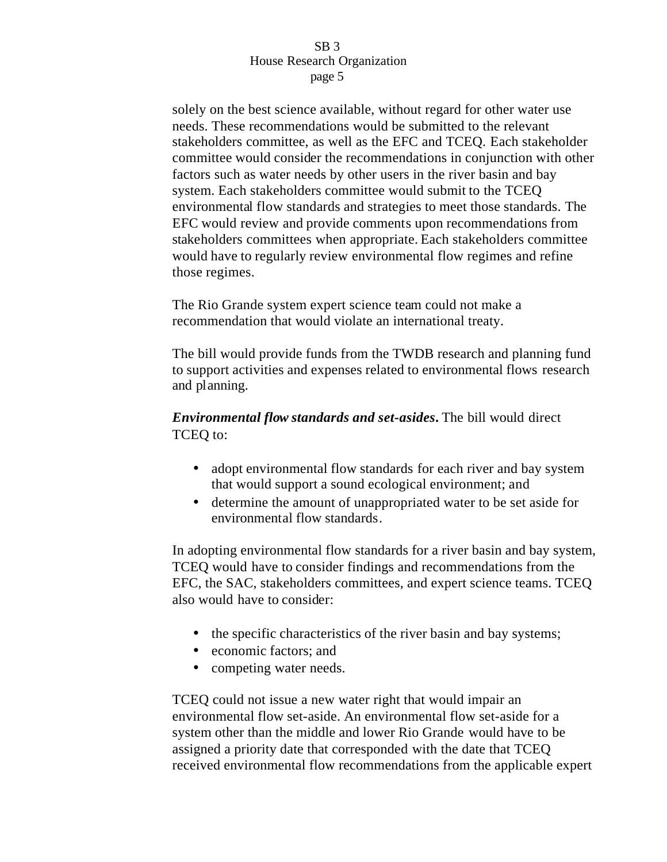solely on the best science available, without regard for other water use needs. These recommendations would be submitted to the relevant stakeholders committee, as well as the EFC and TCEQ. Each stakeholder committee would consider the recommendations in conjunction with other factors such as water needs by other users in the river basin and bay system. Each stakeholders committee would submit to the TCEQ environmental flow standards and strategies to meet those standards. The EFC would review and provide comments upon recommendations from stakeholders committees when appropriate. Each stakeholders committee would have to regularly review environmental flow regimes and refine those regimes.

The Rio Grande system expert science team could not make a recommendation that would violate an international treaty.

The bill would provide funds from the TWDB research and planning fund to support activities and expenses related to environmental flows research and planning.

# *Environmental flow standards and set-asides***.** The bill would direct TCEQ to:

- adopt environmental flow standards for each river and bay system that would support a sound ecological environment; and
- determine the amount of unappropriated water to be set aside for environmental flow standards.

In adopting environmental flow standards for a river basin and bay system, TCEQ would have to consider findings and recommendations from the EFC, the SAC, stakeholders committees, and expert science teams. TCEQ also would have to consider:

- the specific characteristics of the river basin and bay systems;
- economic factors; and
- competing water needs.

TCEQ could not issue a new water right that would impair an environmental flow set-aside. An environmental flow set-aside for a system other than the middle and lower Rio Grande would have to be assigned a priority date that corresponded with the date that TCEQ received environmental flow recommendations from the applicable expert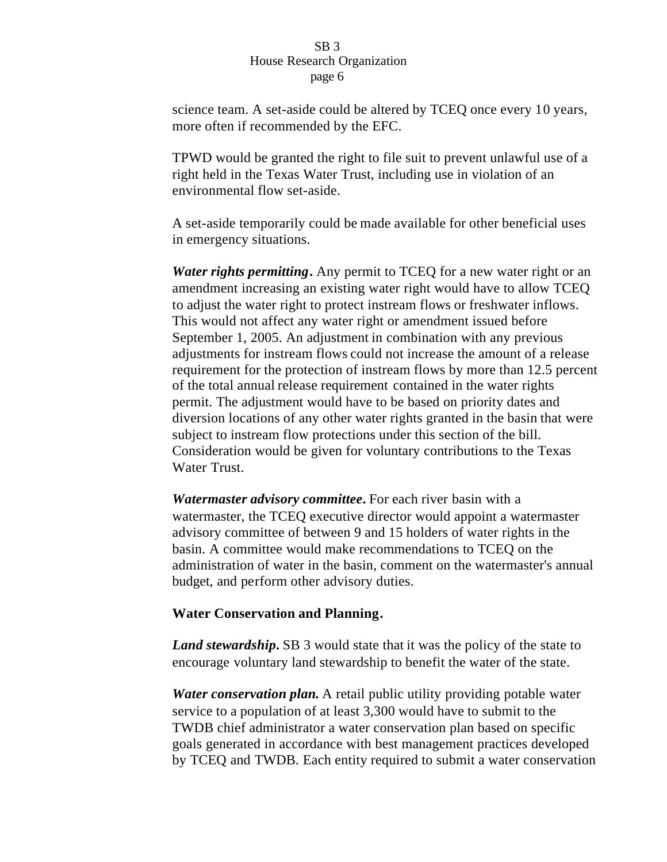science team. A set-aside could be altered by TCEQ once every 10 years, more often if recommended by the EFC.

TPWD would be granted the right to file suit to prevent unlawful use of a right held in the Texas Water Trust, including use in violation of an environmental flow set-aside.

A set-aside temporarily could be made available for other beneficial uses in emergency situations.

*Water rights permitting***.** Any permit to TCEQ for a new water right or an amendment increasing an existing water right would have to allow TCEQ to adjust the water right to protect instream flows or freshwater inflows. This would not affect any water right or amendment issued before September 1, 2005. An adjustment in combination with any previous adjustments for instream flows could not increase the amount of a release requirement for the protection of instream flows by more than 12.5 percent of the total annual release requirement contained in the water rights permit. The adjustment would have to be based on priority dates and diversion locations of any other water rights granted in the basin that were subject to instream flow protections under this section of the bill. Consideration would be given for voluntary contributions to the Texas Water Trust.

*Watermaster advisory committee***.** For each river basin with a watermaster, the TCEQ executive director would appoint a watermaster advisory committee of between 9 and 15 holders of water rights in the basin. A committee would make recommendations to TCEQ on the administration of water in the basin, comment on the watermaster's annual budget, and perform other advisory duties.

# **Water Conservation and Planning.**

*Land stewardship***.** SB 3 would state that it was the policy of the state to encourage voluntary land stewardship to benefit the water of the state.

*Water conservation plan***.** A retail public utility providing potable water service to a population of at least 3,300 would have to submit to the TWDB chief administrator a water conservation plan based on specific goals generated in accordance with best management practices developed by TCEQ and TWDB. Each entity required to submit a water conservation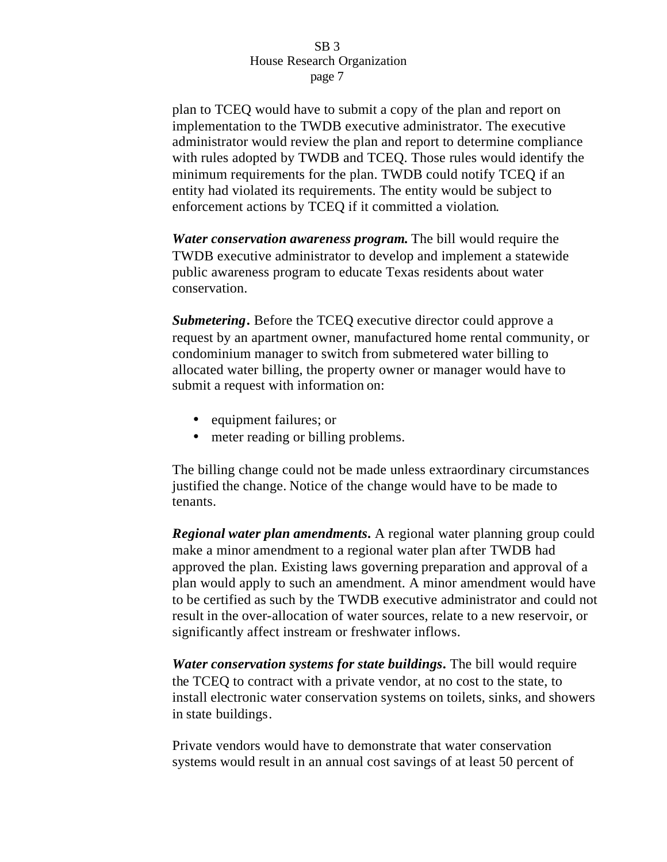plan to TCEQ would have to submit a copy of the plan and report on implementation to the TWDB executive administrator. The executive administrator would review the plan and report to determine compliance with rules adopted by TWDB and TCEQ. Those rules would identify the minimum requirements for the plan. TWDB could notify TCEQ if an entity had violated its requirements. The entity would be subject to enforcement actions by TCEQ if it committed a violation.

*Water conservation awareness program***.** The bill would require the TWDB executive administrator to develop and implement a statewide public awareness program to educate Texas residents about water conservation.

*Submetering***.** Before the TCEQ executive director could approve a request by an apartment owner, manufactured home rental community, or condominium manager to switch from submetered water billing to allocated water billing, the property owner or manager would have to submit a request with information on:

- equipment failures; or
- meter reading or billing problems.

The billing change could not be made unless extraordinary circumstances justified the change. Notice of the change would have to be made to tenants.

*Regional water plan amendments***.** A regional water planning group could make a minor amendment to a regional water plan after TWDB had approved the plan. Existing laws governing preparation and approval of a plan would apply to such an amendment. A minor amendment would have to be certified as such by the TWDB executive administrator and could not result in the over-allocation of water sources, relate to a new reservoir, or significantly affect instream or freshwater inflows.

*Water conservation systems for state buildings***.** The bill would require the TCEQ to contract with a private vendor, at no cost to the state, to install electronic water conservation systems on toilets, sinks, and showers in state buildings.

Private vendors would have to demonstrate that water conservation systems would result in an annual cost savings of at least 50 percent of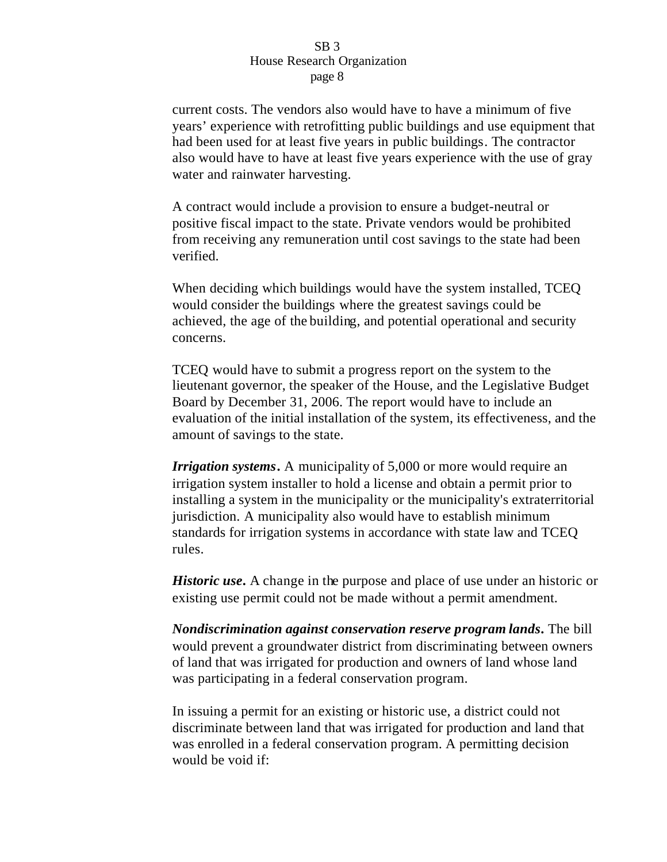current costs. The vendors also would have to have a minimum of five years' experience with retrofitting public buildings and use equipment that had been used for at least five years in public buildings. The contractor also would have to have at least five years experience with the use of gray water and rainwater harvesting.

A contract would include a provision to ensure a budget-neutral or positive fiscal impact to the state. Private vendors would be prohibited from receiving any remuneration until cost savings to the state had been verified.

When deciding which buildings would have the system installed, TCEQ would consider the buildings where the greatest savings could be achieved, the age of the building, and potential operational and security concerns.

TCEQ would have to submit a progress report on the system to the lieutenant governor, the speaker of the House, and the Legislative Budget Board by December 31, 2006. The report would have to include an evaluation of the initial installation of the system, its effectiveness, and the amount of savings to the state.

*Irrigation systems***.** A municipality of 5,000 or more would require an irrigation system installer to hold a license and obtain a permit prior to installing a system in the municipality or the municipality's extraterritorial jurisdiction. A municipality also would have to establish minimum standards for irrigation systems in accordance with state law and TCEQ rules.

*Historic use***.** A change in the purpose and place of use under an historic or existing use permit could not be made without a permit amendment.

*Nondiscrimination against conservation reserve program lands***.** The bill would prevent a groundwater district from discriminating between owners of land that was irrigated for production and owners of land whose land was participating in a federal conservation program.

In issuing a permit for an existing or historic use, a district could not discriminate between land that was irrigated for production and land that was enrolled in a federal conservation program. A permitting decision would be void if: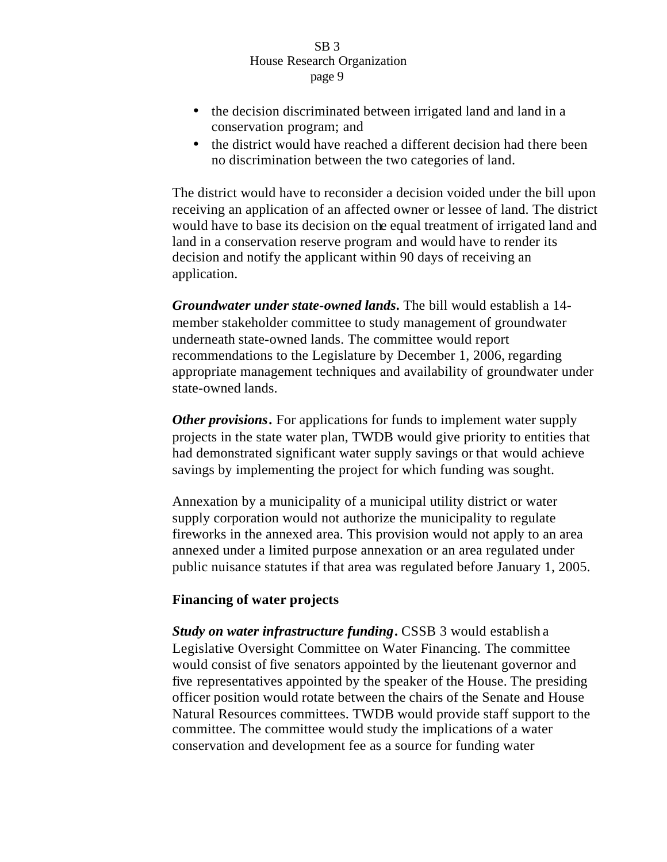- the decision discriminated between irrigated land and land in a conservation program; and
- the district would have reached a different decision had there been no discrimination between the two categories of land.

The district would have to reconsider a decision voided under the bill upon receiving an application of an affected owner or lessee of land. The district would have to base its decision on the equal treatment of irrigated land and land in a conservation reserve program and would have to render its decision and notify the applicant within 90 days of receiving an application.

*Groundwater under state-owned lands***.** The bill would establish a 14 member stakeholder committee to study management of groundwater underneath state-owned lands. The committee would report recommendations to the Legislature by December 1, 2006, regarding appropriate management techniques and availability of groundwater under state-owned lands.

*Other provisions***.** For applications for funds to implement water supply projects in the state water plan, TWDB would give priority to entities that had demonstrated significant water supply savings or that would achieve savings by implementing the project for which funding was sought.

Annexation by a municipality of a municipal utility district or water supply corporation would not authorize the municipality to regulate fireworks in the annexed area. This provision would not apply to an area annexed under a limited purpose annexation or an area regulated under public nuisance statutes if that area was regulated before January 1, 2005.

# **Financing of water projects**

*Study on water infrastructure funding***.** CSSB 3 would establish a Legislative Oversight Committee on Water Financing. The committee would consist of five senators appointed by the lieutenant governor and five representatives appointed by the speaker of the House. The presiding officer position would rotate between the chairs of the Senate and House Natural Resources committees. TWDB would provide staff support to the committee. The committee would study the implications of a water conservation and development fee as a source for funding water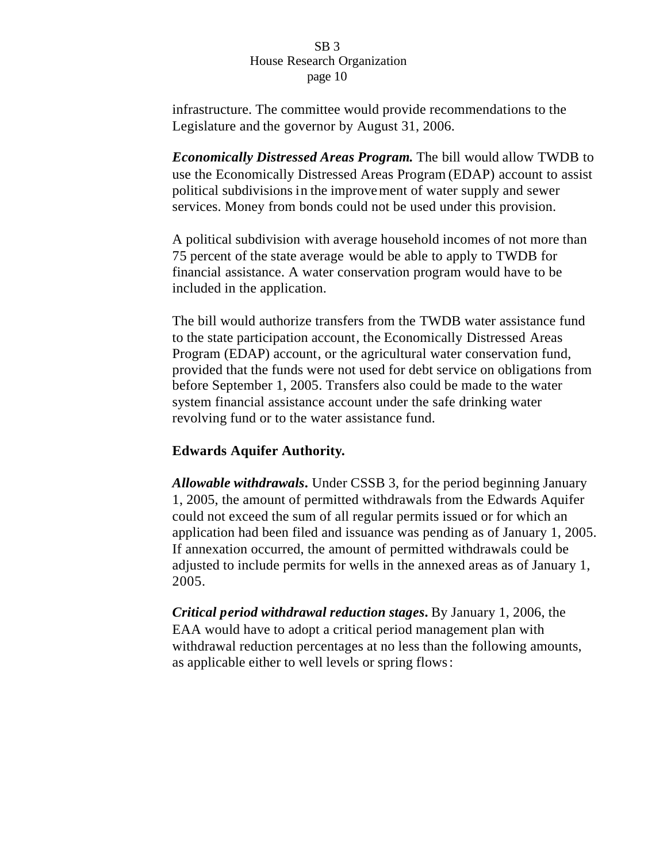infrastructure. The committee would provide recommendations to the Legislature and the governor by August 31, 2006.

*Economically Distressed Areas Program***.** The bill would allow TWDB to use the Economically Distressed Areas Program (EDAP) account to assist political subdivisions in the improvement of water supply and sewer services. Money from bonds could not be used under this provision.

A political subdivision with average household incomes of not more than 75 percent of the state average would be able to apply to TWDB for financial assistance. A water conservation program would have to be included in the application.

The bill would authorize transfers from the TWDB water assistance fund to the state participation account, the Economically Distressed Areas Program (EDAP) account, or the agricultural water conservation fund, provided that the funds were not used for debt service on obligations from before September 1, 2005. Transfers also could be made to the water system financial assistance account under the safe drinking water revolving fund or to the water assistance fund.

# **Edwards Aquifer Authority.**

*Allowable withdrawals***.** Under CSSB 3, for the period beginning January 1, 2005, the amount of permitted withdrawals from the Edwards Aquifer could not exceed the sum of all regular permits issued or for which an application had been filed and issuance was pending as of January 1, 2005. If annexation occurred, the amount of permitted withdrawals could be adjusted to include permits for wells in the annexed areas as of January 1, 2005.

*Critical period withdrawal reduction stages***.** By January 1, 2006, the EAA would have to adopt a critical period management plan with withdrawal reduction percentages at no less than the following amounts, as applicable either to well levels or spring flows: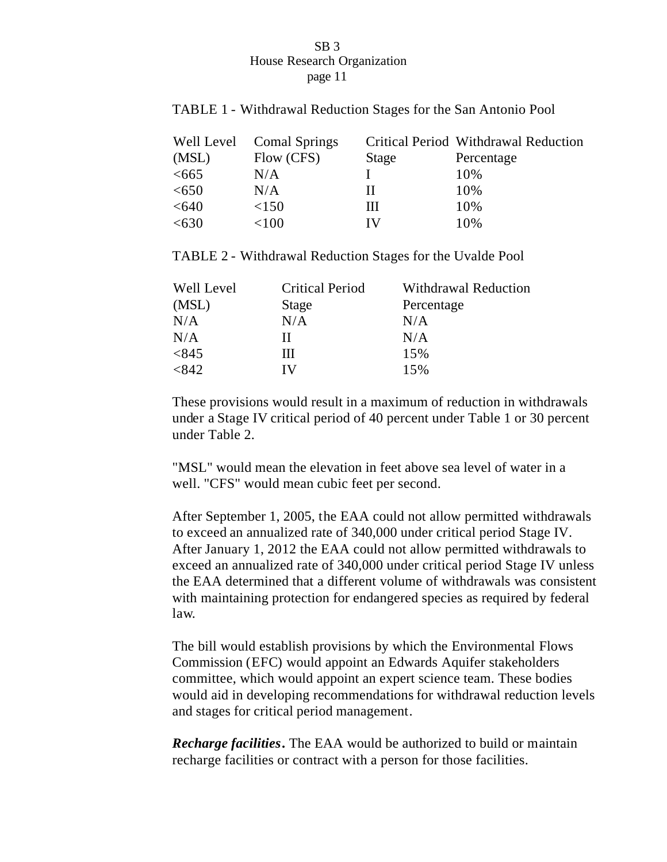# TABLE 1 - Withdrawal Reduction Stages for the San Antonio Pool

|       | Well Level Comal Springs |       | Critical Period Withdrawal Reduction |
|-------|--------------------------|-------|--------------------------------------|
| (MSL) | Flow (CFS)               | Stage | Percentage                           |
| <665  | N/A                      |       | 10%                                  |
| <650  | N/A                      | п     | 10%                                  |
| < 640 | <150                     | Ш     | 10%                                  |
| <630  | $<$ 100                  | TV.   | 10%                                  |

TABLE 2 - Withdrawal Reduction Stages for the Uvalde Pool

| Well Level | <b>Critical Period</b> | <b>Withdrawal Reduction</b> |
|------------|------------------------|-----------------------------|
| (MSL)      | Stage                  | Percentage                  |
| N/A        | N/A                    | N/A                         |
| N/A        | Н                      | N/A                         |
| <845       | Ш                      | 15%                         |
| <842       | IV                     | 15%                         |

These provisions would result in a maximum of reduction in withdrawals under a Stage IV critical period of 40 percent under Table 1 or 30 percent under Table 2.

"MSL" would mean the elevation in feet above sea level of water in a well. "CFS" would mean cubic feet per second.

After September 1, 2005, the EAA could not allow permitted withdrawals to exceed an annualized rate of 340,000 under critical period Stage IV. After January 1, 2012 the EAA could not allow permitted withdrawals to exceed an annualized rate of 340,000 under critical period Stage IV unless the EAA determined that a different volume of withdrawals was consistent with maintaining protection for endangered species as required by federal law.

The bill would establish provisions by which the Environmental Flows Commission (EFC) would appoint an Edwards Aquifer stakeholders committee, which would appoint an expert science team. These bodies would aid in developing recommendations for withdrawal reduction levels and stages for critical period management.

*Recharge facilities***.** The EAA would be authorized to build or maintain recharge facilities or contract with a person for those facilities.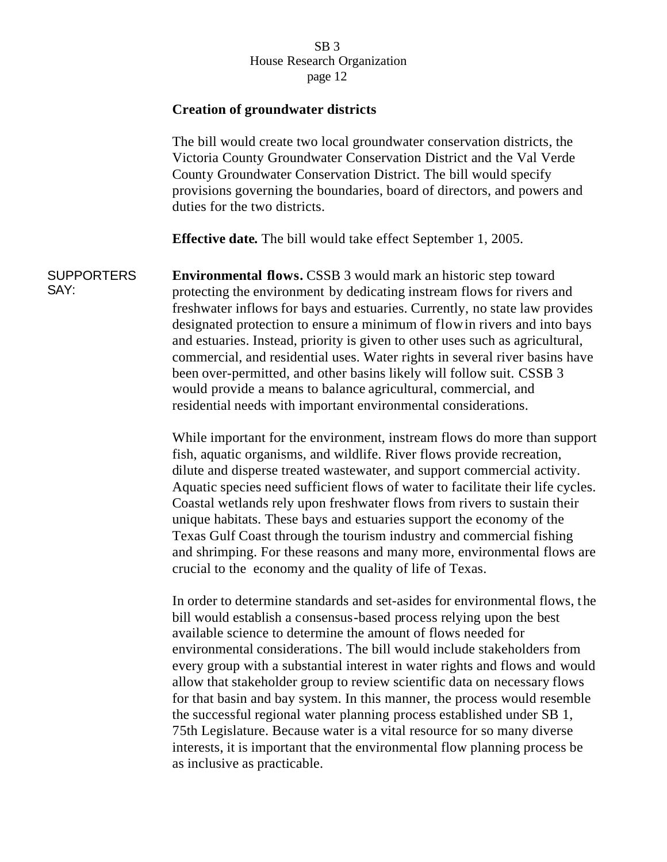# **Creation of groundwater districts**

The bill would create two local groundwater conservation districts, the Victoria County Groundwater Conservation District and the Val Verde County Groundwater Conservation District. The bill would specify provisions governing the boundaries, board of directors, and powers and duties for the two districts.

**Effective date***.* The bill would take effect September 1, 2005.

**SUPPORTERS** SAY: **Environmental flows.** CSSB 3 would mark an historic step toward protecting the environment by dedicating instream flows for rivers and freshwater inflows for bays and estuaries. Currently, no state law provides designated protection to ensure a minimum of flow in rivers and into bays and estuaries. Instead, priority is given to other uses such as agricultural, commercial, and residential uses. Water rights in several river basins have been over-permitted, and other basins likely will follow suit. CSSB 3 would provide a means to balance agricultural, commercial, and residential needs with important environmental considerations.

> While important for the environment, instream flows do more than support fish, aquatic organisms, and wildlife. River flows provide recreation, dilute and disperse treated wastewater, and support commercial activity. Aquatic species need sufficient flows of water to facilitate their life cycles. Coastal wetlands rely upon freshwater flows from rivers to sustain their unique habitats. These bays and estuaries support the economy of the Texas Gulf Coast through the tourism industry and commercial fishing and shrimping. For these reasons and many more, environmental flows are crucial to the economy and the quality of life of Texas.

> In order to determine standards and set-asides for environmental flows, t he bill would establish a consensus-based process relying upon the best available science to determine the amount of flows needed for environmental considerations. The bill would include stakeholders from every group with a substantial interest in water rights and flows and would allow that stakeholder group to review scientific data on necessary flows for that basin and bay system. In this manner, the process would resemble the successful regional water planning process established under SB 1, 75th Legislature. Because water is a vital resource for so many diverse interests, it is important that the environmental flow planning process be as inclusive as practicable.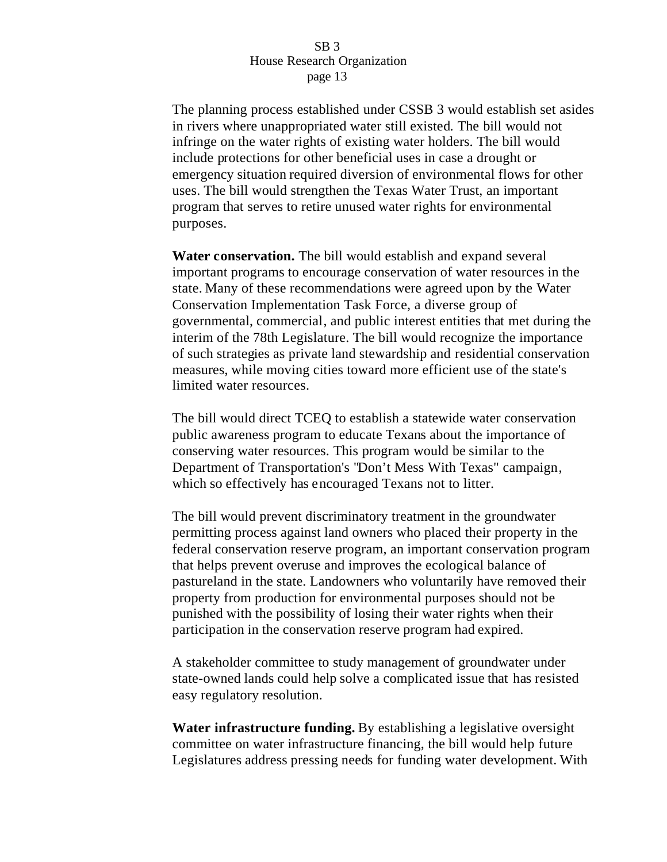The planning process established under CSSB 3 would establish set asides in rivers where unappropriated water still existed. The bill would not infringe on the water rights of existing water holders. The bill would include protections for other beneficial uses in case a drought or emergency situation required diversion of environmental flows for other uses. The bill would strengthen the Texas Water Trust, an important program that serves to retire unused water rights for environmental purposes.

**Water conservation.** The bill would establish and expand several important programs to encourage conservation of water resources in the state. Many of these recommendations were agreed upon by the Water Conservation Implementation Task Force, a diverse group of governmental, commercial, and public interest entities that met during the interim of the 78th Legislature. The bill would recognize the importance of such strategies as private land stewardship and residential conservation measures, while moving cities toward more efficient use of the state's limited water resources.

The bill would direct TCEQ to establish a statewide water conservation public awareness program to educate Texans about the importance of conserving water resources. This program would be similar to the Department of Transportation's "Don't Mess With Texas" campaign, which so effectively has encouraged Texans not to litter.

The bill would prevent discriminatory treatment in the groundwater permitting process against land owners who placed their property in the federal conservation reserve program, an important conservation program that helps prevent overuse and improves the ecological balance of pastureland in the state. Landowners who voluntarily have removed their property from production for environmental purposes should not be punished with the possibility of losing their water rights when their participation in the conservation reserve program had expired.

A stakeholder committee to study management of groundwater under state-owned lands could help solve a complicated issue that has resisted easy regulatory resolution.

**Water infrastructure funding.** By establishing a legislative oversight committee on water infrastructure financing, the bill would help future Legislatures address pressing needs for funding water development. With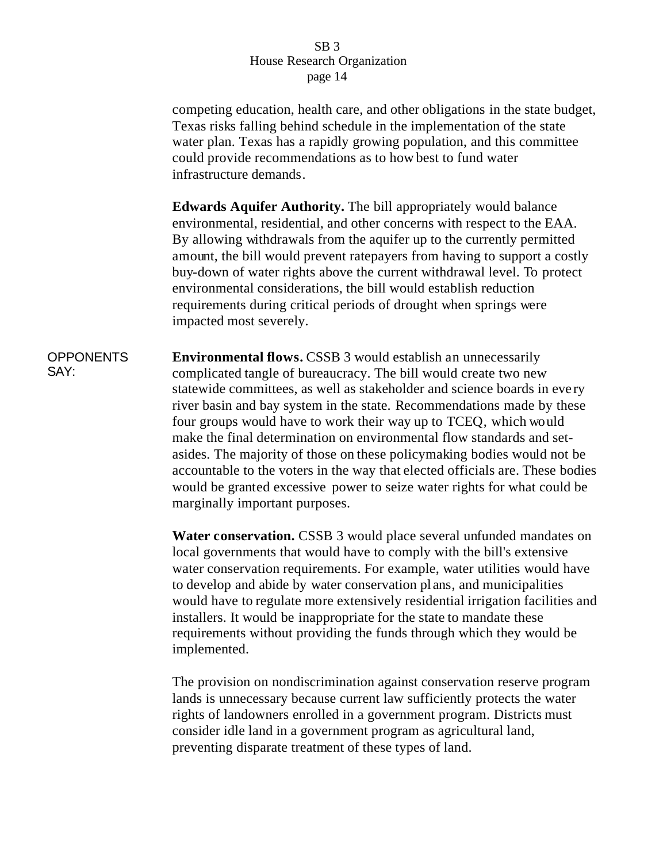competing education, health care, and other obligations in the state budget, Texas risks falling behind schedule in the implementation of the state water plan. Texas has a rapidly growing population, and this committee could provide recommendations as to how best to fund water infrastructure demands.

**Edwards Aquifer Authority.** The bill appropriately would balance environmental, residential, and other concerns with respect to the EAA. By allowing withdrawals from the aquifer up to the currently permitted amount, the bill would prevent ratepayers from having to support a costly buy-down of water rights above the current withdrawal level. To protect environmental considerations, the bill would establish reduction requirements during critical periods of drought when springs were impacted most severely.

**OPPONENTS** SAY: **Environmental flows.** CSSB 3 would establish an unnecessarily complicated tangle of bureaucracy. The bill would create two new statewide committees, as well as stakeholder and science boards in eve ry river basin and bay system in the state. Recommendations made by these four groups would have to work their way up to TCEQ, which would make the final determination on environmental flow standards and setasides. The majority of those on these policymaking bodies would not be accountable to the voters in the way that elected officials are. These bodies would be granted excessive power to seize water rights for what could be marginally important purposes.

> **Water conservation.** CSSB 3 would place several unfunded mandates on local governments that would have to comply with the bill's extensive water conservation requirements. For example, water utilities would have to develop and abide by water conservation pl ans, and municipalities would have to regulate more extensively residential irrigation facilities and installers. It would be inappropriate for the state to mandate these requirements without providing the funds through which they would be implemented.

The provision on nondiscrimination against conservation reserve program lands is unnecessary because current law sufficiently protects the water rights of landowners enrolled in a government program. Districts must consider idle land in a government program as agricultural land, preventing disparate treatment of these types of land.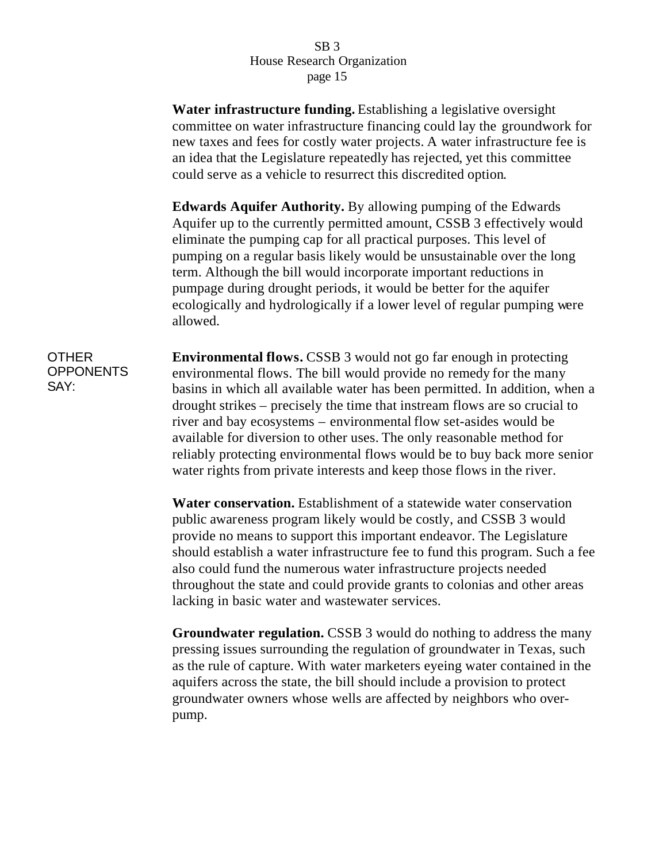**Water infrastructure funding.** Establishing a legislative oversight committee on water infrastructure financing could lay the groundwork for new taxes and fees for costly water projects. A water infrastructure fee is an idea that the Legislature repeatedly has rejected, yet this committee could serve as a vehicle to resurrect this discredited option.

**Edwards Aquifer Authority.** By allowing pumping of the Edwards Aquifer up to the currently permitted amount, CSSB 3 effectively would eliminate the pumping cap for all practical purposes. This level of pumping on a regular basis likely would be unsustainable over the long term. Although the bill would incorporate important reductions in pumpage during drought periods, it would be better for the aquifer ecologically and hydrologically if a lower level of regular pumping were allowed.

OTHER **OPPONENTS** SAY:

**Environmental flows.** CSSB 3 would not go far enough in protecting environmental flows. The bill would provide no remedy for the many basins in which all available water has been permitted. In addition, when a drought strikes – precisely the time that instream flows are so crucial to river and bay ecosystems – environmental flow set-asides would be available for diversion to other uses. The only reasonable method for reliably protecting environmental flows would be to buy back more senior water rights from private interests and keep those flows in the river.

**Water conservation.** Establishment of a statewide water conservation public awareness program likely would be costly, and CSSB 3 would provide no means to support this important endeavor. The Legislature should establish a water infrastructure fee to fund this program. Such a fee also could fund the numerous water infrastructure projects needed throughout the state and could provide grants to colonias and other areas lacking in basic water and wastewater services.

**Groundwater regulation.** CSSB 3 would do nothing to address the many pressing issues surrounding the regulation of groundwater in Texas, such as the rule of capture. With water marketers eyeing water contained in the aquifers across the state, the bill should include a provision to protect groundwater owners whose wells are affected by neighbors who overpump.